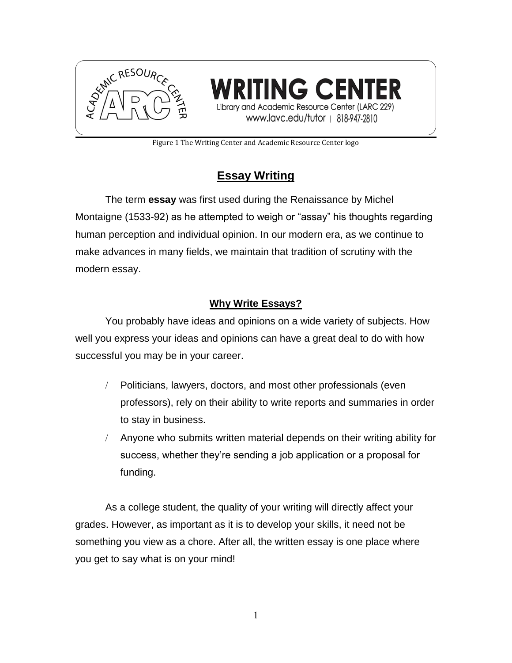

NG CENI Library and Academic Resource Center (LARC 229) www.lavc.edu/tutor | 818-947-2810

Figure 1 The Writing Center and Academic Resource Center logo

# **Essay Writing**

The term **essay** was first used during the Renaissance by Michel Montaigne (1533-92) as he attempted to weigh or "assay" his thoughts regarding human perception and individual opinion. In our modern era, as we continue to make advances in many fields, we maintain that tradition of scrutiny with the modern essay.

## **Why Write Essays?**

You probably have ideas and opinions on a wide variety of subjects. How well you express your ideas and opinions can have a great deal to do with how successful you may be in your career.

- Politicians, lawyers, doctors, and most other professionals (even professors), rely on their ability to write reports and summaries in order to stay in business.
- Anyone who submits written material depends on their writing ability for success, whether they're sending a job application or a proposal for funding.

As a college student, the quality of your writing will directly affect your grades. However, as important as it is to develop your skills, it need not be something you view as a chore. After all, the written essay is one place where you get to say what is on your mind!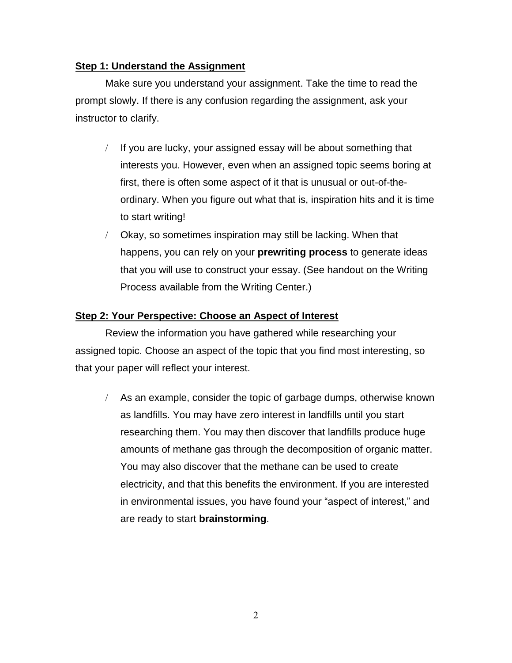#### **Step 1: Understand the Assignment**

Make sure you understand your assignment. Take the time to read the prompt slowly. If there is any confusion regarding the assignment, ask your instructor to clarify.

- $I$  If you are lucky, your assigned essay will be about something that interests you. However, even when an assigned topic seems boring at first, there is often some aspect of it that is unusual or out-of-theordinary. When you figure out what that is, inspiration hits and it is time to start writing!
- Okay, so sometimes inspiration may still be lacking. When that happens, you can rely on your **prewriting process** to generate ideas that you will use to construct your essay. (See handout on the Writing Process available from the Writing Center.)

#### **Step 2: Your Perspective: Choose an Aspect of Interest**

Review the information you have gathered while researching your assigned topic. Choose an aspect of the topic that you find most interesting, so that your paper will reflect your interest.

 $\angle$  As an example, consider the topic of garbage dumps, otherwise known as landfills. You may have zero interest in landfills until you start researching them. You may then discover that landfills produce huge amounts of methane gas through the decomposition of organic matter. You may also discover that the methane can be used to create electricity, and that this benefits the environment. If you are interested in environmental issues, you have found your "aspect of interest," and are ready to start **brainstorming**.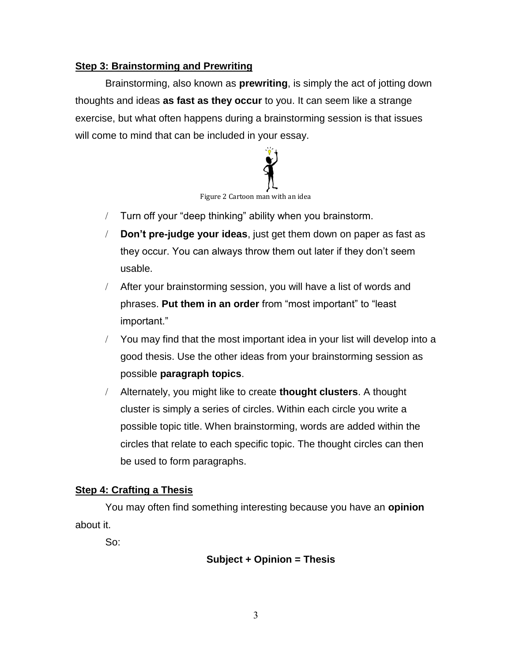#### **Step 3: Brainstorming and Prewriting**

Brainstorming, also known as **prewriting**, is simply the act of jotting down thoughts and ideas **as fast as they occur** to you. It can seem like a strange exercise, but what often happens during a brainstorming session is that issues will come to mind that can be included in your essay.



- Turn off your "deep thinking" ability when you brainstorm.
- **Don't pre-judge your ideas**, just get them down on paper as fast as they occur. You can always throw them out later if they don't seem usable.
- After your brainstorming session, you will have a list of words and phrases. **Put them in an order** from "most important" to "least important."
- You may find that the most important idea in your list will develop into a good thesis. Use the other ideas from your brainstorming session as possible **paragraph topics**.
- Alternately, you might like to create **thought clusters**. A thought cluster is simply a series of circles. Within each circle you write a possible topic title. When brainstorming, words are added within the circles that relate to each specific topic. The thought circles can then be used to form paragraphs.

#### **Step 4: Crafting a Thesis**

You may often find something interesting because you have an **opinion** about it.

So:

#### **Subject + Opinion = Thesis**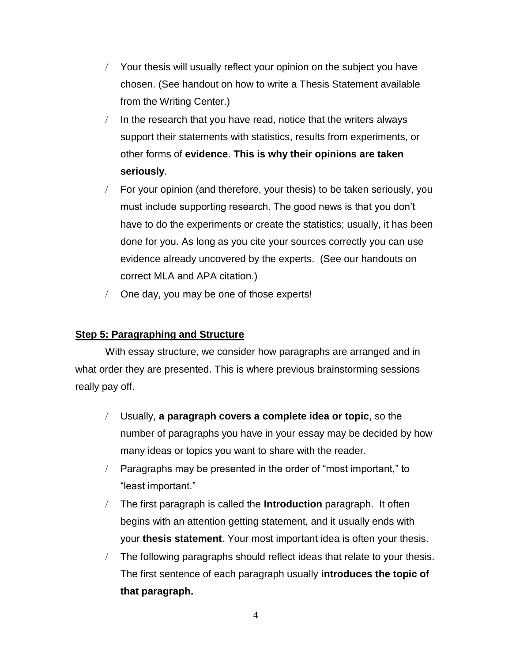- Your thesis will usually reflect your opinion on the subject you have chosen. (See handout on how to write a Thesis Statement available from the Writing Center.)
- $\ln$  In the research that you have read, notice that the writers always support their statements with statistics, results from experiments, or other forms of **evidence**. **This is why their opinions are taken seriously**.
- For your opinion (and therefore, your thesis) to be taken seriously, you must include supporting research. The good news is that you don't have to do the experiments or create the statistics; usually, it has been done for you. As long as you cite your sources correctly you can use evidence already uncovered by the experts. (See our handouts on correct MLA and APA citation.)
- One day, you may be one of those experts!

#### **Step 5: Paragraphing and Structure**

With essay structure, we consider how paragraphs are arranged and in what order they are presented. This is where previous brainstorming sessions really pay off.

- Usually, **a paragraph covers a complete idea or topic**, so the number of paragraphs you have in your essay may be decided by how many ideas or topics you want to share with the reader.
- Paragraphs may be presented in the order of "most important," to "least important."
- The first paragraph is called the **Introduction** paragraph. It often begins with an attention getting statement, and it usually ends with your **thesis statement**. Your most important idea is often your thesis.
- The following paragraphs should reflect ideas that relate to your thesis. The first sentence of each paragraph usually **introduces the topic of that paragraph.**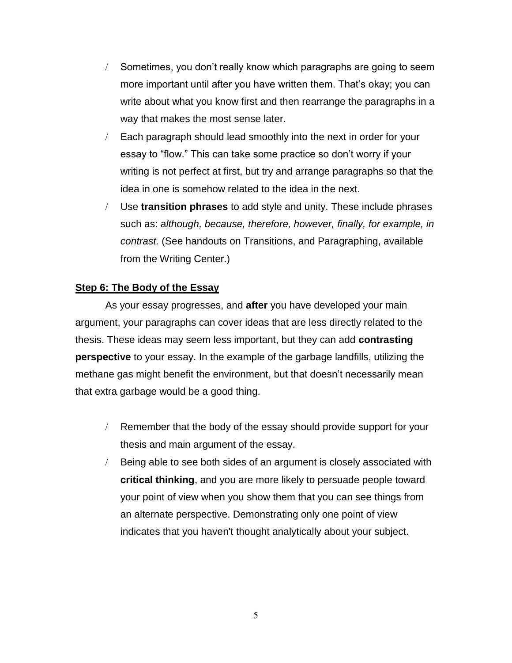- Sometimes, you don't really know which paragraphs are going to seem more important until after you have written them. That's okay; you can write about what you know first and then rearrange the paragraphs in a way that makes the most sense later.
- Each paragraph should lead smoothly into the next in order for your essay to "flow." This can take some practice so don't worry if your writing is not perfect at first, but try and arrange paragraphs so that the idea in one is somehow related to the idea in the next.
- Use **transition phrases** to add style and unity. These include phrases such as: a*lthough, because, therefore, however, finally, for example, in contrast.* (See handouts on Transitions, and Paragraphing, available from the Writing Center.)

#### **Step 6: The Body of the Essay**

As your essay progresses, and **after** you have developed your main argument, your paragraphs can cover ideas that are less directly related to the thesis. These ideas may seem less important, but they can add **contrasting perspective** to your essay. In the example of the garbage landfills, utilizing the methane gas might benefit the environment, but that doesn't necessarily mean that extra garbage would be a good thing.

- Remember that the body of the essay should provide support for your thesis and main argument of the essay.
- Being able to see both sides of an argument is closely associated with **critical thinking**, and you are more likely to persuade people toward your point of view when you show them that you can see things from an alternate perspective. Demonstrating only one point of view indicates that you haven't thought analytically about your subject.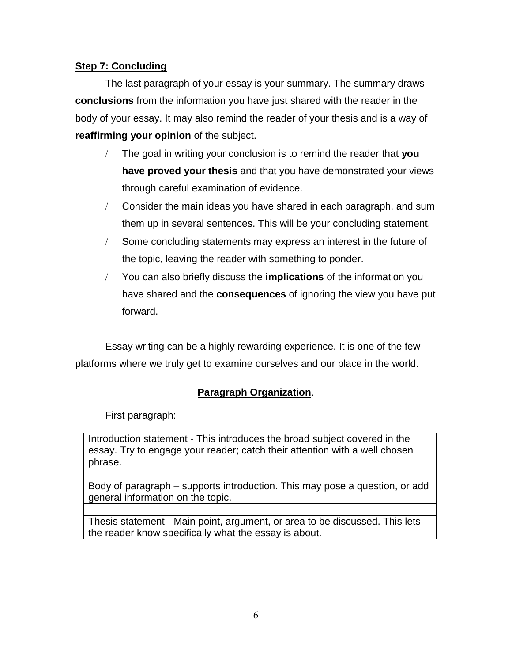#### **Step 7: Concluding**

The last paragraph of your essay is your summary. The summary draws **conclusions** from the information you have just shared with the reader in the body of your essay. It may also remind the reader of your thesis and is a way of **reaffirming your opinion** of the subject.

- The goal in writing your conclusion is to remind the reader that **you have proved your thesis** and that you have demonstrated your views through careful examination of evidence.
- Consider the main ideas you have shared in each paragraph, and sum them up in several sentences. This will be your concluding statement.
- Some concluding statements may express an interest in the future of the topic, leaving the reader with something to ponder.
- You can also briefly discuss the **implications** of the information you have shared and the **consequences** of ignoring the view you have put forward.

Essay writing can be a highly rewarding experience. It is one of the few platforms where we truly get to examine ourselves and our place in the world.

### **Paragraph Organization**.

First paragraph:

Introduction statement - This introduces the broad subject covered in the essay. Try to engage your reader; catch their attention with a well chosen phrase.

Body of paragraph  $-$  supports introduction. This may pose a question, or add general information on the topic.

Thesis statement - Main point, argument, or area to be discussed. This lets the reader know specifically what the essay is about.